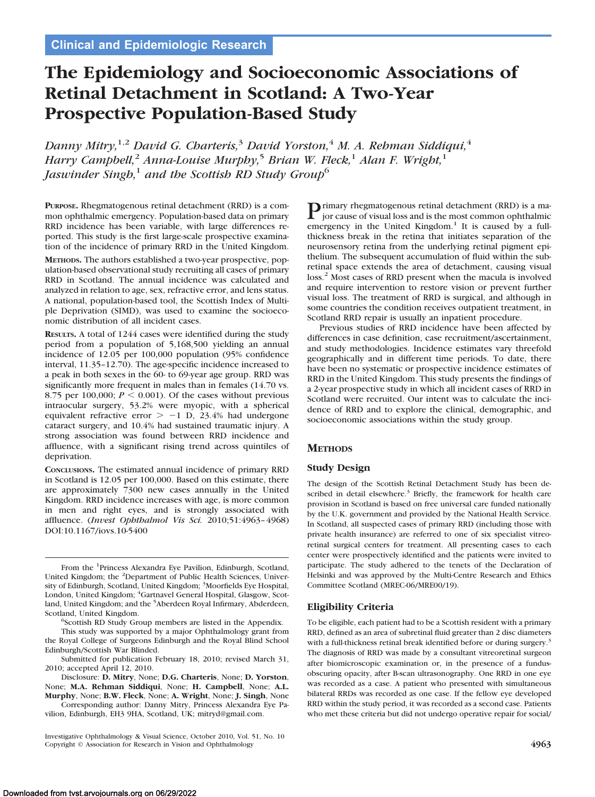# **The Epidemiology and Socioeconomic Associations of Retinal Detachment in Scotland: A Two-Year Prospective Population-Based Study**

*Danny Mitry,*1,2 *David G. Charteris,*<sup>3</sup> *David Yorston,*<sup>4</sup> *M. A. Rehman Siddiqui,*<sup>4</sup> *Harry Campbell,*<sup>2</sup> *Anna-Louise Murphy,*<sup>5</sup> *Brian W. Fleck,*<sup>1</sup> *Alan F. Wright,*<sup>1</sup> *Jaswinder Singh,*<sup>1</sup> *and the Scottish RD Study Group*<sup>6</sup>

**PURPOSE.** Rhegmatogenous retinal detachment (RRD) is a common ophthalmic emergency. Population-based data on primary RRD incidence has been variable, with large differences reported. This study is the first large-scale prospective examination of the incidence of primary RRD in the United Kingdom.

**METHODS.** The authors established a two-year prospective, population-based observational study recruiting all cases of primary RRD in Scotland. The annual incidence was calculated and analyzed in relation to age, sex, refractive error, and lens status. A national, population-based tool, the Scottish Index of Multiple Deprivation (SIMD), was used to examine the socioeconomic distribution of all incident cases.

**RESULTS.** A total of 1244 cases were identified during the study period from a population of 5,168,500 yielding an annual incidence of 12.05 per 100,000 population (95% confidence interval, 11.35–12.70). The age-specific incidence increased to a peak in both sexes in the 60- to 69-year age group. RRD was significantly more frequent in males than in females (14.70 vs. 8.75 per 100,000;  $P \le 0.001$ ). Of the cases without previous intraocular surgery, 53.2% were myopic, with a spherical equivalent refractive error  $> -1$  D, 23.4% had undergone cataract surgery, and 10.4% had sustained traumatic injury. A strong association was found between RRD incidence and affluence, with a significant rising trend across quintiles of deprivation.

**CONCLUSIONS.** The estimated annual incidence of primary RRD in Scotland is 12.05 per 100,000. Based on this estimate, there are approximately 7300 new cases annually in the United Kingdom. RRD incidence increases with age, is more common in men and right eyes, and is strongly associated with affluence. (*Invest Ophthalmol Vis Sci.* 2010;51:4963– 4968) DOI:10.1167/iovs.10-5400

From the <sup>1</sup>Princess Alexandra Eye Pavilion, Edinburgh, Scotland, United Kingdom; the <sup>2</sup>Department of Public Health Sciences, University of Edinburgh, Scotland, United Kingdom; <sup>3</sup>Moorfields Eye Hospital, London, United Kingdom; <sup>4</sup>Gartnavel General Hospital, Glasgow, Scotland, United Kingdom; and the <sup>5</sup>Aberdeen Royal Infirmary, Abderdeen, Scotland, United Kingdom.

<sup>6</sup>Scottish RD Study Group members are listed in the Appendix.

This study was supported by a major Ophthalmology grant from the Royal College of Surgeons Edinburgh and the Royal Blind School Edinburgh/Scottish War Blinded.

Submitted for publication February 18, 2010; revised March 31, 2010; accepted April 12, 2010.

Disclosure: **D. Mitry**, None; **D.G. Charteris**, None; **D. Yorston**, None; **M.A. Rehman Siddiqui**, None; **H. Campbell**, None; **A.L. Murphy**, None; **B.W. Fleck**, None; **A. Wright**, None; **J. Singh**, None

Corresponding author: Danny Mitry, Princess Alexandra Eye Pavilion, Edinburgh, EH3 9HA, Scotland, UK; mitryd@gmail.com.

 $\sum$  rimary rhegmatogenous retinal detachment (RRD) is a ma-<br>jor cause of visual loss and is the most common ophthalmic emergency in the United Kingdom.<sup>1</sup> It is caused by a fullthickness break in the retina that initiates separation of the neurosensory retina from the underlying retinal pigment epithelium. The subsequent accumulation of fluid within the subretinal space extends the area of detachment, causing visual loss.<sup>2</sup> Most cases of RRD present when the macula is involved and require intervention to restore vision or prevent further visual loss. The treatment of RRD is surgical, and although in some countries the condition receives outpatient treatment, in Scotland RRD repair is usually an inpatient procedure.

Previous studies of RRD incidence have been affected by differences in case definition, case recruitment/ascertainment, and study methodologies. Incidence estimates vary threefold geographically and in different time periods. To date, there have been no systematic or prospective incidence estimates of RRD in the United Kingdom. This study presents the findings of a 2-year prospective study in which all incident cases of RRD in Scotland were recruited. Our intent was to calculate the incidence of RRD and to explore the clinical, demographic, and socioeconomic associations within the study group.

# **METHODS**

# **Study Design**

The design of the Scottish Retinal Detachment Study has been described in detail elsewhere. $3$  Briefly, the framework for health care provision in Scotland is based on free universal care funded nationally by the U.K. government and provided by the National Health Service. In Scotland, all suspected cases of primary RRD (including those with private health insurance) are referred to one of six specialist vitreoretinal surgical centers for treatment. All presenting cases to each center were prospectively identified and the patients were invited to participate. The study adhered to the tenets of the Declaration of Helsinki and was approved by the Multi-Centre Research and Ethics Committee Scotland (MREC-06/MRE00/19).

# **Eligibility Criteria**

To be eligible, each patient had to be a Scottish resident with a primary RRD, defined as an area of subretinal fluid greater than 2 disc diameters with a full-thickness retinal break identified before or during surgery.<sup>3</sup> The diagnosis of RRD was made by a consultant vitreoretinal surgeon after biomicroscopic examination or, in the presence of a fundusobscuring opacity, after B-scan ultrasonography. One RRD in one eye was recorded as a case. A patient who presented with simultaneous bilateral RRDs was recorded as one case. If the fellow eye developed RRD within the study period, it was recorded as a second case. Patients who met these criteria but did not undergo operative repair for social/

Investigative Ophthalmology & Visual Science, October 2010, Vol. 51, No. 10 Copyright © Association for Research in Vision and Ophthalmology **4963**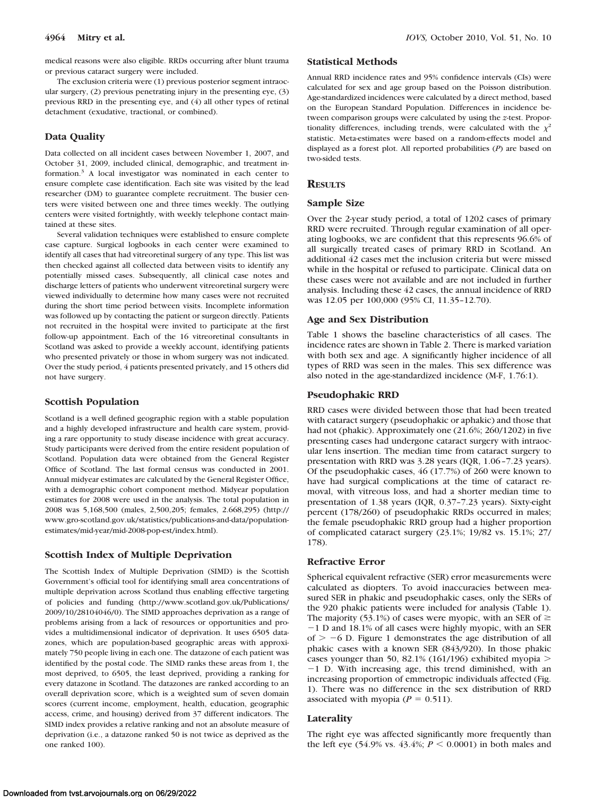medical reasons were also eligible. RRDs occurring after blunt trauma or previous cataract surgery were included.

The exclusion criteria were (1) previous posterior segment intraocular surgery, (2) previous penetrating injury in the presenting eye, (3) previous RRD in the presenting eye, and (4) all other types of retinal detachment (exudative, tractional, or combined).

## **Data Quality**

Data collected on all incident cases between November 1, 2007, and October 31, 2009, included clinical, demographic, and treatment information.3 A local investigator was nominated in each center to ensure complete case identification. Each site was visited by the lead researcher (DM) to guarantee complete recruitment. The busier centers were visited between one and three times weekly. The outlying centers were visited fortnightly, with weekly telephone contact maintained at these sites.

Several validation techniques were established to ensure complete case capture. Surgical logbooks in each center were examined to identify all cases that had vitreoretinal surgery of any type. This list was then checked against all collected data between visits to identify any potentially missed cases. Subsequently, all clinical case notes and discharge letters of patients who underwent vitreoretinal surgery were viewed individually to determine how many cases were not recruited during the short time period between visits. Incomplete information was followed up by contacting the patient or surgeon directly. Patients not recruited in the hospital were invited to participate at the first follow-up appointment. Each of the 16 vitreoretinal consultants in Scotland was asked to provide a weekly account, identifying patients who presented privately or those in whom surgery was not indicated. Over the study period, 4 patients presented privately, and 15 others did not have surgery.

## **Scottish Population**

Scotland is a well defined geographic region with a stable population and a highly developed infrastructure and health care system, providing a rare opportunity to study disease incidence with great accuracy. Study participants were derived from the entire resident population of Scotland. Population data were obtained from the General Register Office of Scotland. The last formal census was conducted in 2001. Annual midyear estimates are calculated by the General Register Office, with a demographic cohort component method. Midyear population estimates for 2008 were used in the analysis. The total population in 2008 was 5,168,500 (males, 2,500,205; females, 2.668,295) (http:// www.gro-scotland.gov.uk/statistics/publications-and-data/populationestimates/mid-year/mid-2008-pop-est/index.html).

## **Scottish Index of Multiple Deprivation**

The Scottish Index of Multiple Deprivation (SIMD) is the Scottish Government's official tool for identifying small area concentrations of multiple deprivation across Scotland thus enabling effective targeting of policies and funding (http://www.scotland.gov.uk/Publications/ 2009/10/28104046/0). The SIMD approaches deprivation as a range of problems arising from a lack of resources or opportunities and provides a multidimensional indicator of deprivation. It uses 6505 datazones, which are population-based geographic areas with approximately 750 people living in each one. The datazone of each patient was identified by the postal code. The SIMD ranks these areas from 1, the most deprived, to 6505, the least deprived, providing a ranking for every datazone in Scotland. The datazones are ranked according to an overall deprivation score, which is a weighted sum of seven domain scores (current income, employment, health, education, geographic access, crime, and housing) derived from 37 different indicators. The SIMD index provides a relative ranking and not an absolute measure of deprivation (i.e., a datazone ranked 50 is not twice as deprived as the one ranked 100).

## **Statistical Methods**

Annual RRD incidence rates and 95% confidence intervals (CIs) were calculated for sex and age group based on the Poisson distribution. Age-standardized incidences were calculated by a direct method, based on the European Standard Population. Differences in incidence between comparison groups were calculated by using the *z*-test. Proportionality differences, including trends, were calculated with the  $\chi^2$ statistic. Meta-estimates were based on a random-effects model and displayed as a forest plot. All reported probabilities (*P*) are based on two-sided tests.

## **RESULTS**

#### **Sample Size**

Over the 2-year study period, a total of 1202 cases of primary RRD were recruited. Through regular examination of all operating logbooks, we are confident that this represents 96.6% of all surgically treated cases of primary RRD in Scotland. An additional 42 cases met the inclusion criteria but were missed while in the hospital or refused to participate. Clinical data on these cases were not available and are not included in further analysis. Including these 42 cases, the annual incidence of RRD was 12.05 per 100,000 (95% CI, 11.35–12.70).

#### **Age and Sex Distribution**

Table 1 shows the baseline characteristics of all cases. The incidence rates are shown in Table 2. There is marked variation with both sex and age. A significantly higher incidence of all types of RRD was seen in the males. This sex difference was also noted in the age-standardized incidence (M-F, 1.76:1).

#### **Pseudophakic RRD**

RRD cases were divided between those that had been treated with cataract surgery (pseudophakic or aphakic) and those that had not (phakic). Approximately one (21.6%; 260/1202) in five presenting cases had undergone cataract surgery with intraocular lens insertion. The median time from cataract surgery to presentation with RRD was 3.28 years (IQR, 1.06 –7.23 years). Of the pseudophakic cases, 46 (17.7%) of 260 were known to have had surgical complications at the time of cataract removal, with vitreous loss, and had a shorter median time to presentation of 1.38 years (IQR, 0.37–7.23 years). Sixty-eight percent (178/260) of pseudophakic RRDs occurred in males; the female pseudophakic RRD group had a higher proportion of complicated cataract surgery (23.1%; 19/82 vs. 15.1%; 27/ 178).

# **Refractive Error**

Spherical equivalent refractive (SER) error measurements were calculated as diopters. To avoid inaccuracies between measured SER in phakic and pseudophakic cases, only the SERs of the 920 phakic patients were included for analysis (Table 1). The majority (53.1%) of cases were myopic, with an SER of  $\ge$  $-1$  D and 18.1% of all cases were highly myopic, with an SER of  $> -6$  D. Figure 1 demonstrates the age distribution of all phakic cases with a known SER (843/920). In those phakic cases younger than 50, 82.1% (161/196) exhibited myopia  $>$ 1 D. With increasing age, this trend diminished, with an increasing proportion of emmetropic individuals affected (Fig. 1). There was no difference in the sex distribution of RRD associated with myopia ( $P = 0.511$ ).

## **Laterality**

The right eye was affected significantly more frequently than the left eye (54.9% vs.  $43.4\%$ ;  $P \le 0.0001$ ) in both males and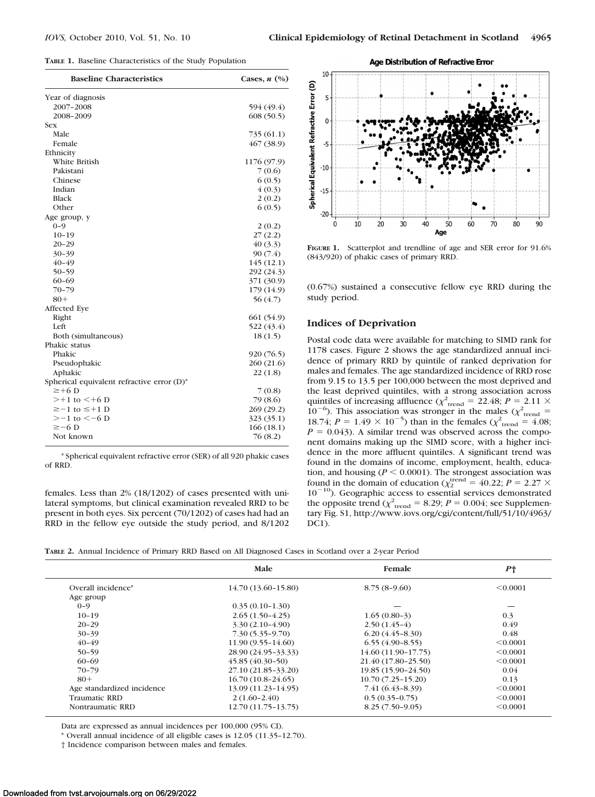| <b>TABLE 1.</b> Baseline Characteristics of the Study Population |  |  |  |
|------------------------------------------------------------------|--|--|--|
|------------------------------------------------------------------|--|--|--|

| <b>Baseline Characteristics</b>            | Cases, $n$ $(\%)$ |
|--------------------------------------------|-------------------|
| Year of diagnosis                          |                   |
| 2007-2008                                  | 594 (49.4)        |
| 2008-2009                                  | 608(50.5)         |
| Sex                                        |                   |
| Male                                       | 735 (61.1)        |
| Female                                     | 467(38.9)         |
| Ethnicity                                  |                   |
| White British                              | 1176 (97.9)       |
| Pakistani                                  | 7(0.6)            |
| Chinese                                    | 6(0.5)            |
| Indian                                     | 4(0.3)            |
| <b>Black</b>                               | 2(0.2)            |
| Other                                      | 6(0.5)            |
| Age group, y                               |                   |
| $0 - 9$                                    | 2(0.2)            |
| $10 - 19$                                  | 27(2.2)           |
| $20 - 29$                                  | 40(3.3)           |
| $30 - 39$                                  | 90(7.4)           |
| $40 - 49$                                  | 145(12.1)         |
| $50 - 59$                                  | 292 (24.3)        |
| $60 - 69$                                  | 371 (30.9)        |
| $70 - 79$                                  | 179 (14.9)        |
| $80+$                                      | 56(4.7)           |
| Affected Eye                               |                   |
| Right                                      | 661 (54.9)        |
| Left                                       | 522 (43.4)        |
| Both (simultaneous)                        | 18(1.5)           |
| Phakic status                              |                   |
| Phakic                                     | 920 (76.5)        |
| Pseudophakic                               | 260 (21.6)        |
| Aphakic                                    | 22(1.8)           |
| Spherical equivalent refractive error (D)* |                   |
| $\geq +6$ D                                | 7(0.8)            |
| $>>+1$ to $<<+6$ D                         | 79 (8.6)          |
| $\ge -1$ to $\le +1$ D                     | 269 (29.2)        |
| $\ge -1$ to $\lt$ -6 D                     | 323 (35.1)        |
| $\ge -6$ D                                 | 166(18.1)         |
| Not known                                  | 76 (8.2)          |
|                                            |                   |

\* Spherical equivalent refractive error (SER) of all 920 phakic cases of RRD.

females. Less than 2% (18/1202) of cases presented with unilateral symptoms, but clinical examination revealed RRD to be present in both eyes. Six percent (70/1202) of cases had had an RRD in the fellow eye outside the study period, and 8/1202



**FIGURE 1.** Scatterplot and trendline of age and SER error for 91.6% (843/920) of phakic cases of primary RRD.

(0.67%) sustained a consecutive fellow eye RRD during the study period.

#### **Indices of Deprivation**

Postal code data were available for matching to SIMD rank for 1178 cases. Figure 2 shows the age standardized annual incidence of primary RRD by quintile of ranked deprivation for males and females. The age standardized incidence of RRD rose from 9.15 to 13.5 per 100,000 between the most deprived and the least deprived quintiles, with a strong association across quintiles of increasing affluence ( $\chi^2_{\text{trend}} = 22.48; P = 2.11 \times$  $10^{-6}$ ). This association was stronger in the males ( $\chi^2_{\text{trend}}$  = 18.74;  $P = 1.49 \times 10^{-5}$ ) than in the females ( $\chi^2_{\text{trend}} = 4.08$ ;  $P = 0.043$ ). A similar trend was observed across the component domains making up the SIMD score, with a higher incidence in the more affluent quintiles. A significant trend was found in the domains of income, employment, health, education, and housing  $(P \le 0.0001)$ . The strongest association was found in the domain of education ( $\chi_2^{\text{trend}} = 40.22$ ;  $P = 2.27 \times$  $10^{-10}$ ). Geographic access to essential services demonstrated the opposite trend ( $\chi^2_{\text{trend}} = 8.29$ ;  $P = 0.004$ ; see Supplementary Fig. S1, http://www.iovs.org/cgi/content/full/51/10/4963/ DC1).

|                            | Male                  | Female              | P <sub>1</sub> |
|----------------------------|-----------------------|---------------------|----------------|
| Overall incidence*         | 14.70 (13.60-15.80)   | $8.75(8-9.60)$      | < 0.0001       |
| Age group                  |                       |                     |                |
| $0 - 9$                    | $0.35(0.10-1.30)$     |                     |                |
| $10-19$                    | $2.65(1.50-4.25)$     | $1.65(0.80-3)$      | 0.3            |
| $20 - 29$                  | $3.30(2.10-4.90)$     | $2.50(1.45-4)$      | 0.49           |
| $30 - 39$                  | $7.30(5.35-9.70)$     | $6.20(4.45 - 8.30)$ | 0.48           |
| $40 - 49$                  | $11.90(9.55 - 14.60)$ | $6.55(4.90-8.55)$   | < 0.0001       |
| $50 - 59$                  | 28.90 (24.95-33.33)   | 14.60 (11.90-17.75) | < 0.0001       |
| $60 - 69$                  | $45.85(40.30-50)$     | 21.40 (17.80-25.50) | < 0.0001       |
| $70 - 79$                  | 27.10 (21.85–33.20)   | 19.85 (15.90-24.50) | 0.04           |
| $80+$                      | $16.70(10.8-24.65)$   | $10.70(7.25-15.20)$ | 0.13           |
| Age standardized incidence | 13.09 (11.23-14.95)   | 7.41 (6.43-8.39)    | < 0.0001       |
| <b>Traumatic RRD</b>       | $2(1.60-2.40)$        | $0.5(0.35-0.75)$    | < 0.0001       |
| Nontraumatic RRD           | $12.70(11.75-13.75)$  | $8.25(7.50-9.05)$   | < 0.0001       |

Data are expressed as annual incidences per 100,000 (95% CI).

\* Overall annual incidence of all eligible cases is 12.05 (11.35–12.70).

† Incidence comparison between males and females.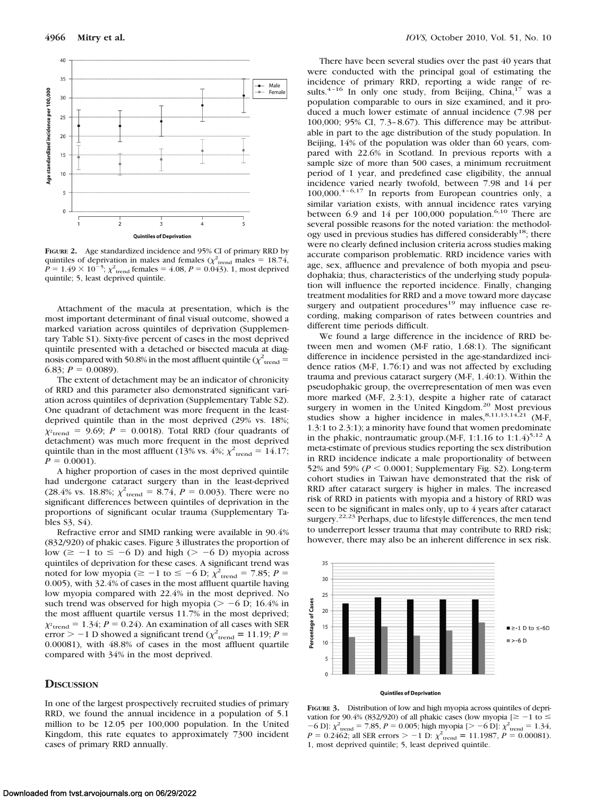

**FIGURE 2.** Age standardized incidence and 95% CI of primary RRD by quintiles of deprivation in males and females ( $\chi^2_{\text{trend}}$  males = 18.74,  $\vec{P} = 1.49 \times 10^{-5}$ ;  $\chi^2$ <sub>trend</sub> females = 4.08,  $P = 0.043$ ). 1, most deprived quintile; 5, least deprived quintile.

Attachment of the macula at presentation, which is the most important determinant of final visual outcome, showed a marked variation across quintiles of deprivation (Supplementary Table S1). Sixty-five percent of cases in the most deprived quintile presented with a detached or bisected macula at diagnosis compared with 50.8% in the most affluent quintile ( $\chi^2_{\text{trend}}$  = 6.83;  $P = 0.0089$ ).

The extent of detachment may be an indicator of chronicity of RRD and this parameter also demonstrated significant variation across quintiles of deprivation (Supplementary Table S2). One quadrant of detachment was more frequent in the leastdeprived quintile than in the most deprived (29% vs. 18%;  $\chi^2$ <sub>trend</sub> = 9.69; *P* = 0.0018). Total RRD (four quadrants of detachment) was much more frequent in the most deprived quintile than in the most affluent (13% vs. 4%;  $\chi^2_{\text{trend}} = 14.17$ ;  $P = 0.0001$ .

A higher proportion of cases in the most deprived quintile had undergone cataract surgery than in the least-deprived (28.4% vs. 18.8%;  $\chi^2_{\text{trend}} = 8.74$ ,  $P = 0.003$ ). There were no significant differences between quintiles of deprivation in the proportions of significant ocular trauma (Supplementary Tables S3, S4).

Refractive error and SIMD ranking were available in 90.4% (832/920) of phakic cases. Figure 3 illustrates the proportion of low ( $\ge -1$  to  $\le -6$  D) and high ( $> -6$  D) myopia across quintiles of deprivation for these cases. A significant trend was noted for low myopia ( $\ge -1$  to  $\le -6$  D;  $\chi^2_{\text{trend}} = 7.85$ ;  $P =$ 0.005), with 32.4% of cases in the most affluent quartile having low myopia compared with 22.4% in the most deprived. No such trend was observed for high myopia ( $> -6$  D; 16.4% in the most affluent quartile versus 11.7% in the most deprived;  $\chi$ <sup>2</sup><sub>trend</sub> = 1.34; *P* = 0.24). An examination of all cases with SER error  $> -1$  D showed a significant trend ( $\chi^2$ <sub>trend</sub> = 11.19; *P* = 0.00081), with 48.8% of cases in the most affluent quartile compared with 34% in the most deprived.

## **DISCUSSION**

In one of the largest prospectively recruited studies of primary RRD, we found the annual incidence in a population of 5.1 million to be 12.05 per 100,000 population. In the United Kingdom, this rate equates to approximately 7300 incident cases of primary RRD annually.

There have been several studies over the past 40 years that were conducted with the principal goal of estimating the incidence of primary RRD, reporting a wide range of results.<sup>4-16</sup> In only one study, from Beijing, China,  $17$  was a population comparable to ours in size examined, and it produced a much lower estimate of annual incidence (7.98 per 100,000; 95% CI, 7.3– 8.67). This difference may be attributable in part to the age distribution of the study population. In Beijing, 14% of the population was older than 60 years, compared with 22.6% in Scotland. In previous reports with a sample size of more than 500 cases, a minimum recruitment period of 1 year, and predefined case eligibility, the annual incidence varied nearly twofold, between 7.98 and 14 per  $100,000$ .<sup>4-6,17</sup> In reports from European countries only, a similar variation exists, with annual incidence rates varying between  $6.9$  and  $14$  per  $100,000$  population.<sup>6,10</sup> There are several possible reasons for the noted variation: the methodology used in previous studies has differed considerably<sup>18</sup>; there were no clearly defined inclusion criteria across studies making accurate comparison problematic. RRD incidence varies with age, sex, affluence and prevalence of both myopia and pseudophakia; thus, characteristics of the underlying study population will influence the reported incidence. Finally, changing treatment modalities for RRD and a move toward more daycase surgery and outpatient procedures<sup>19</sup> may influence case recording, making comparison of rates between countries and different time periods difficult.

We found a large difference in the incidence of RRD between men and women (M-F ratio, 1.68:1). The significant difference in incidence persisted in the age-standardized incidence ratios (M-F, 1.76:1) and was not affected by excluding trauma and previous cataract surgery (M-F, 1.40:1). Within the pseudophakic group, the overrepresentation of men was even more marked (M-F, 2.3:1), despite a higher rate of cataract surgery in women in the United Kingdom.<sup>20</sup> Most previous studies show a higher incidence in males,  $8,11,13,14,21$  (M-F, 1.3:1 to 2.3:1); a minority have found that women predominate in the phakic, nontraumatic group.  $(M-F, 1:1.16$  to  $1:1.4)^{5,12}$  A meta-estimate of previous studies reporting the sex distribution in RRD incidence indicate a male proportionality of between 52% and 59% ( $P < 0.0001$ ; Supplementary Fig. S2). Long-term cohort studies in Taiwan have demonstrated that the risk of RRD after cataract surgery is higher in males. The increased risk of RRD in patients with myopia and a history of RRD was seen to be significant in males only, up to 4 years after cataract surgery.<sup>22,23</sup> Perhaps, due to lifestyle differences, the men tend to underreport lesser trauma that may contribute to RRD risk; however, there may also be an inherent difference in sex risk.



**FIGURE 3.** Distribution of low and high myopia across quintiles of deprivation for 90.4% (832/920) of all phakic cases (low myopia  $\ge -1$  to  $\le$  $-6$  D]:  $\chi^2_{\text{trend}} = 7.85$ ,  $P = 0.005$ ; high myopia [> -6 D]:  $\chi^2_{\text{trend}} = 1.34$ ,  $P = 0.2462$ ; all SER errors  $> -1$  D:  $\chi^2_{\text{trend}} = 11.1987$ ,  $P = 0.00081$ ). 1, most deprived quintile; 5, least deprived quintile.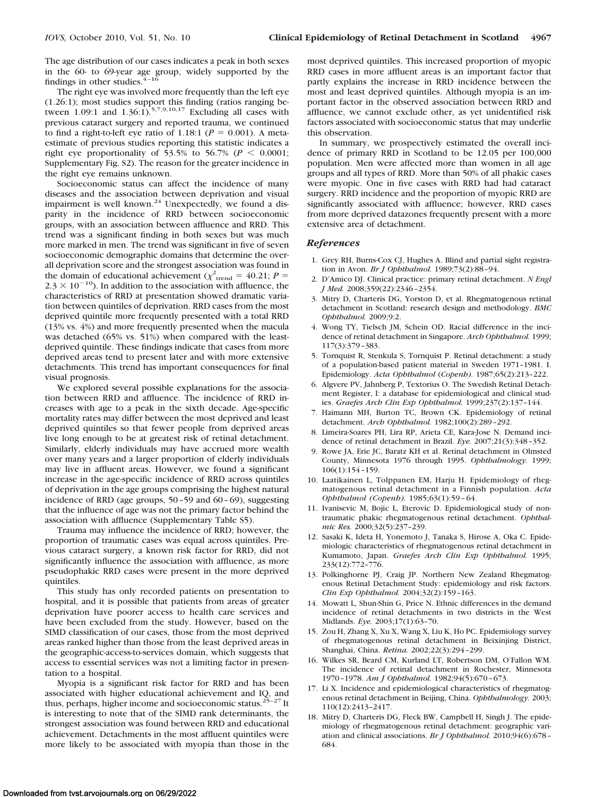The age distribution of our cases indicates a peak in both sexes in the 60- to 69-year age group, widely supported by the findings in other studies. $4-16$ 

The right eye was involved more frequently than the left eye (1.26:1); most studies support this finding (ratios ranging between  $1.09:1$  and  $1.36:1$ ).<sup>5,7,9,10,17</sup> Excluding all cases with previous cataract surgery and reported trauma, we continued to find a right-to-left eye ratio of 1.18:1 ( $P = 0.001$ ). A metaestimate of previous studies reporting this statistic indicates a right eye proportionality of 53.5% to 56.7% ( $P < 0.0001$ ; Supplementary Fig. S2). The reason for the greater incidence in the right eye remains unknown.

Socioeconomic status can affect the incidence of many diseases and the association between deprivation and visual impairment is well known.<sup>24</sup> Unexpectedly, we found a disparity in the incidence of RRD between socioeconomic groups, with an association between affluence and RRD. This trend was a significant finding in both sexes but was much more marked in men. The trend was significant in five of seven socioeconomic demographic domains that determine the overall deprivation score and the strongest association was found in the domain of educational achievement ( $\chi^2_{\text{trend}} = 40.21$ ;  $P =$  $2.3 \times 10^{-10}$ ). In addition to the association with affluence, the characteristics of RRD at presentation showed dramatic variation between quintiles of deprivation. RRD cases from the most deprived quintile more frequently presented with a total RRD (13% vs. 4%) and more frequently presented when the macula was detached (65% vs. 51%) when compared with the leastdeprived quintile. These findings indicate that cases from more deprived areas tend to present later and with more extensive detachments. This trend has important consequences for final visual prognosis.

We explored several possible explanations for the association between RRD and affluence. The incidence of RRD increases with age to a peak in the sixth decade. Age-specific mortality rates may differ between the most deprived and least deprived quintiles so that fewer people from deprived areas live long enough to be at greatest risk of retinal detachment. Similarly, elderly individuals may have accrued more wealth over many years and a larger proportion of elderly individuals may live in affluent areas. However, we found a significant increase in the age-specific incidence of RRD across quintiles of deprivation in the age groups comprising the highest natural incidence of RRD (age groups, 50 –59 and 60 – 69), suggesting that the influence of age was not the primary factor behind the association with affluence (Supplementary Table S5).

Trauma may influence the incidence of RRD; however, the proportion of traumatic cases was equal across quintiles. Previous cataract surgery, a known risk factor for RRD, did not significantly influence the association with affluence, as more pseudophakic RRD cases were present in the more deprived quintiles.

This study has only recorded patients on presentation to hospital, and it is possible that patients from areas of greater deprivation have poorer access to health care services and have been excluded from the study. However, based on the SIMD classification of our cases, those from the most deprived areas ranked higher than those from the least deprived areas in the geographic-access-to-services domain, which suggests that access to essential services was not a limiting factor in presentation to a hospital.

Myopia is a significant risk factor for RRD and has been associated with higher educational achievement and IQ, and thus, perhaps, higher income and socioeconomic status.<sup>25-27</sup> It is interesting to note that of the SIMD rank determinants, the strongest association was found between RRD and educational achievement. Detachments in the most affluent quintiles were more likely to be associated with myopia than those in the most deprived quintiles. This increased proportion of myopic RRD cases in more affluent areas is an important factor that partly explains the increase in RRD incidence between the most and least deprived quintiles. Although myopia is an important factor in the observed association between RRD and affluence, we cannot exclude other, as yet unidentified risk factors associated with socioeconomic status that may underlie this observation.

In summary, we prospectively estimated the overall incidence of primary RRD in Scotland to be 12.05 per 100,000 population. Men were affected more than women in all age groups and all types of RRD. More than 50% of all phakic cases were myopic. One in five cases with RRD had had cataract surgery. RRD incidence and the proportion of myopic RRD are significantly associated with affluence; however, RRD cases from more deprived datazones frequently present with a more extensive area of detachment.

#### *References*

- 1. Grey RH, Burns-Cox CJ, Hughes A. Blind and partial sight registration in Avon. *Br J Ophthalmol.* 1989;73(2):88 –94.
- 2. D'Amico DJ. Clinical practice: primary retinal detachment. *N Engl J Med.* 2008;359(22):2346 –2354.
- 3. Mitry D, Charteris DG, Yorston D, et al. Rhegmatogenous retinal detachment in Scotland: research design and methodology. *BMC Ophthalmol.* 2009;9:2.
- 4. Wong TY, Tielsch JM, Schein OD. Racial difference in the incidence of retinal detachment in Singapore. *Arch Ophthalmol.* 1999; 117(3):379 –383.
- 5. Tornquist R, Stenkula S, Tornquist P. Retinal detachment: a study of a population-based patient material in Sweden 1971–1981. I. Epidemiology. *Acta Ophthalmol* (*Copenh).* 1987;65(2):213–222.
- 6. Algvere PV, Jahnberg P, Textorius O. The Swedish Retinal Detachment Register, I: a database for epidemiological and clinical studies. *Graefes Arch Clin Exp Ophthalmol.* 1999;237(2):137–144.
- 7. Haimann MH, Burton TC, Brown CK. Epidemiology of retinal detachment. *Arch Ophthalmol.* 1982;100(2):289 –292.
- 8. Limeira-Soares PH, Lira RP, Arieta CE, Kara-Jose N. Demand incidence of retinal detachment in Brazil. *Eye.* 2007;21(3):348 –352.
- 9. Rowe JA, Erie JC, Baratz KH et al. Retinal detachment in Olmsted County, Minnesota 1976 through 1995. *Ophthalmology.* 1999; 106(1):154 –159.
- 10. Laatikainen L, Tolppanen EM, Harju H. Epidemiology of rhegmatogenous retinal detachment in a Finnish population. *Acta Ophthalmol (Copenh).* 1985;63(1):59 – 64.
- 11. Ivanisevic M, Bojic L, Eterovic D. Epidemiological study of nontraumatic phakic rhegmatogenous retinal detachment. *Ophthalmic Res.* 2000;32(5):237–239.
- 12. Sasaki K, Ideta H, Yonemoto J, Tanaka S, Hirose A, Oka C. Epidemiologic characteristics of rhegmatogenous retinal detachment in Kumamoto, Japan. *Graefes Arch Clin Exp Ophthalmol.* 1995; 233(12):772–776.
- 13. Polkinghorne PJ, Craig JP. Northern New Zealand Rhegmatogenous Retinal Detachment Study: epidemiology and risk factors. *Clin Exp Ophthalmol.* 2004;32(2):159 –163.
- 14. Mowatt L, Shun-Shin G, Price N. Ethnic differences in the demand incidence of retinal detachments in two districts in the West Midlands. *Eye.* 2003;17(1):63–70.
- 15. Zou H, Zhang X, Xu X, Wang X, Liu K, Ho PC. Epidemiology survey of rhegmatogenous retinal detachment in Beixinjing District, Shanghai, China. *Retina.* 2002;22(3):294 –299.
- 16. Wilkes SR, Beard CM, Kurland LT, Robertson DM, O'Fallon WM. The incidence of retinal detachment in Rochester, Minnesota 1970 –1978. *Am J Ophthalmol.* 1982;94(5):670 – 673.
- 17. Li X. Incidence and epidemiological characteristics of rhegmatogenous retinal detachment in Beijing, China. *Ophthalmology.* 2003; 110(12):2413–2417.
- 18. Mitry D, Charteris DG, Fleck BW, Campbell H, Singh J. The epidemiology of rhegmatogenous retinal detachment: geographic variation and clinical associations. *Br J Ophthalmol.* 2010;94(6):678 – 684.